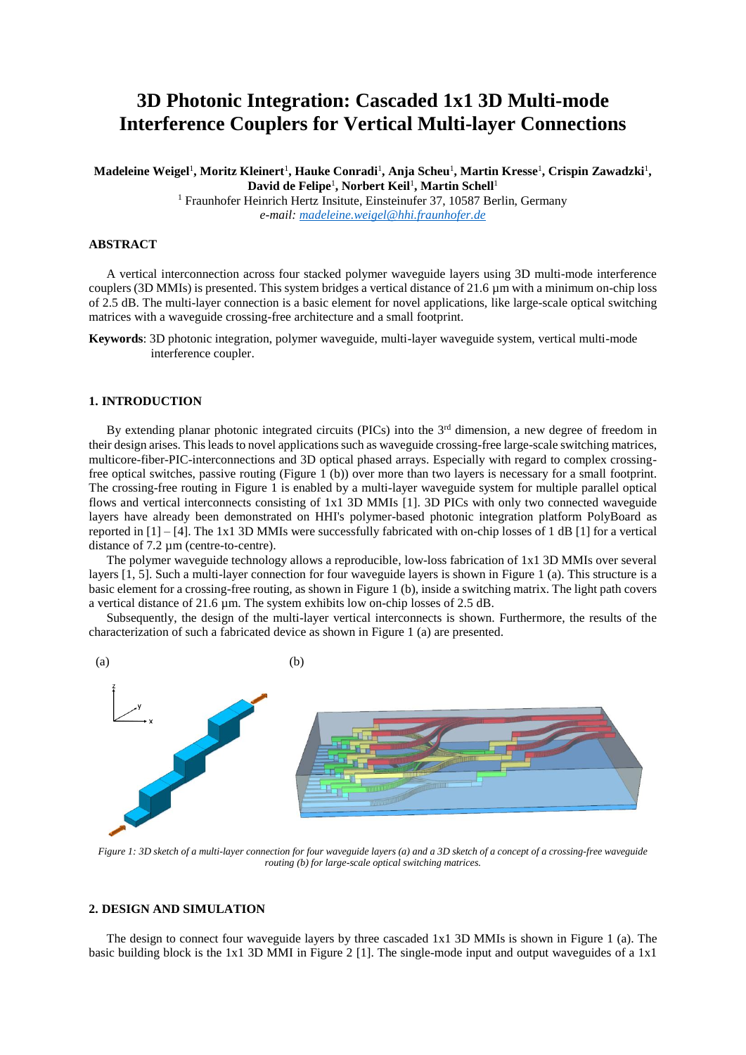# **3D Photonic Integration: Cascaded 1x1 3D Multi-mode Interference Couplers for Vertical Multi-layer Connections**

 $\bm{\mathrm{M}}$ adeleine Weigel<sup>1</sup>, Moritz Kleinert<sup>1</sup>, Hauke Conradi<sup>1</sup>, Anja Scheu<sup>1</sup>, Martin Kresse<sup>1</sup>, Crispin Zawadzki<sup>1</sup>, **David de Felipe**<sup>1</sup> **, Norbert Keil**<sup>1</sup> **, Martin Schell**<sup>1</sup>

<sup>1</sup> Fraunhofer Heinrich Hertz Insitute, Einsteinufer 37, 10587 Berlin, Germany *e-mail: madeleine.weigel@hhi.fraunhofer.de*

## **ABSTRACT**

A vertical interconnection across four stacked polymer waveguide layers using 3D multi-mode interference couplers (3D MMIs) is presented. This system bridges a vertical distance of 21.6 µm with a minimum on-chip loss of 2.5 dB. The multi-layer connection is a basic element for novel applications, like large-scale optical switching matrices with a waveguide crossing-free architecture and a small footprint.

**Keywords**: 3D photonic integration, polymer waveguide, multi-layer waveguide system, vertical multi-mode interference coupler.

### **1. INTRODUCTION**

By extending planar photonic integrated circuits (PICs) into the  $3<sup>rd</sup>$  dimension, a new degree of freedom in their design arises. Thisleads to novel applications such as waveguide crossing-free large-scale switching matrices, multicore-fiber-PIC-interconnections and 3D optical phased arrays. Especially with regard to complex crossingfree optical switches, passive routing [\(Figure 1](#page-0-0) (b)) over more than two layers is necessary for a small footprint. The crossing-free routing in [Figure 1](#page-0-0) is enabled by a multi-layer waveguide system for multiple parallel optical flows and vertical interconnects consisting of 1x1 3D MMIs [1]. 3D PICs with only two connected waveguide layers have already been demonstrated on HHI's polymer-based photonic integration platform PolyBoard as reported in  $[1] - [4]$ . The 1x1 3D MMIs were successfully fabricated with on-chip losses of 1 dB [1] for a vertical distance of 7.2 um (centre-to-centre).

The polymer waveguide technology allows a reproducible, low-loss fabrication of 1x1 3D MMIs over several layers [1, 5]. Such a multi-layer connection for four waveguide layers is shown in [Figure 1](#page-0-0) (a). This structure is a basic element for a crossing-free routing, as shown i[n Figure 1](#page-0-0) (b), inside a switching matrix. The light path covers a vertical distance of 21.6 µm. The system exhibits low on-chip losses of 2.5 dB.

Subsequently, the design of the multi-layer vertical interconnects is shown. Furthermore, the results of the characterization of such a fabricated device as shown i[n Figure 1](#page-0-0) (a) are presented.



<span id="page-0-0"></span>*Figure 1: 3D sketch of a multi-layer connection for four waveguide layers (a) and a 3D sketch of a concept of a crossing-free waveguide routing (b) for large-scale optical switching matrices.* 

# **2. DESIGN AND SIMULATION**

The design to connect four waveguide layers by three cascaded 1x1 3D MMIs is shown in [Figure 1](#page-0-0) (a). The basic building block is the 1x1 3D MMI in [Figure 2](#page-1-0) [1]. The single-mode input and output waveguides of a 1x1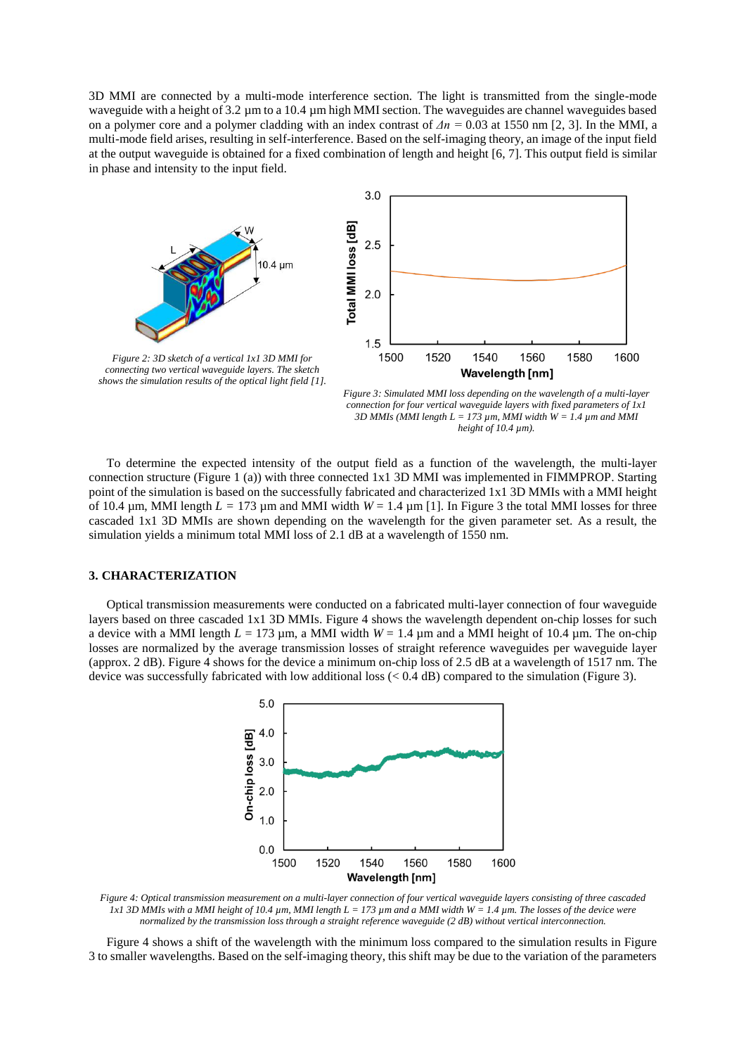3D MMI are connected by a multi-mode interference section. The light is transmitted from the single-mode waveguide with a height of 3.2  $\mu$ m to a 10.4  $\mu$ m high MMI section. The waveguides are channel waveguides based on a polymer core and a polymer cladding with an index contrast of *Δn =* 0.03 at 1550 nm [2, 3]. In the MMI, a multi-mode field arises, resulting in self-interference. Based on the self-imaging theory, an image of the input field at the output waveguide is obtained for a fixed combination of length and height [6, 7]. This output field is similar in phase and intensity to the input field.



<span id="page-1-1"></span>*Figure 3: Simulated MMI loss depending on the wavelength of a multi-layer connection for four vertical waveguide layers with fixed parameters of 1x1 3D MMIs (MMI length L = 173 µm, MMI width W = 1.4 µm and MMI height of 10.4 µm).*

<span id="page-1-0"></span>To determine the expected intensity of the output field as a function of the wavelength, the multi-layer connection structure [\(Figure 1](#page-0-0) (a)) with three connected 1x1 3D MMI was implemented in FIMMPROP. Starting point of the simulation is based on the successfully fabricated and characterized 1x1 3D MMIs with a MMI height of 10.4  $\mu$ m, MMI length  $L = 173 \mu$ m and MMI width  $W = 1.4 \mu$ m [1]. In [Figure 3](#page-1-1) the total MMI losses for three cascaded 1x1 3D MMIs are shown depending on the wavelength for the given parameter set. As a result, the simulation yields a minimum total MMI loss of 2.1 dB at a wavelength of 1550 nm.

#### **3. CHARACTERIZATION**

Optical transmission measurements were conducted on a fabricated multi-layer connection of four waveguide layers based on three cascaded 1x1 3D MMIs. [Figure 4](#page-1-2) shows the wavelength dependent on-chip losses for such a device with a MMI length  $L = 173 \mu m$ , a MMI width  $W = 1.4 \mu m$  and a MMI height of 10.4  $\mu$ m. The on-chip losses are normalized by the average transmission losses of straight reference waveguides per waveguide layer (approx. 2 dB). [Figure 4](#page-1-2) shows for the device a minimum on-chip loss of 2.5 dB at a wavelength of 1517 nm. The device was successfully fabricated with low additional loss (< 0.4 dB) compared to the simulation [\(Figure 3\)](#page-1-1).



<span id="page-1-2"></span>*Figure 4: Optical transmission measurement on a multi-layer connection of four vertical waveguide layers consisting of three cascaded 1x1 3D MMIs with a MMI height of 10.4 µm, MMI length L = 173 µm and a MMI width W = 1.4 µm. The losses of the device were normalized by the transmission loss through a straight reference waveguide (2 dB) without vertical interconnection.*

[Figure 4](#page-1-2) shows a shift of the wavelength with the minimum loss compared to the simulation results in [Figure](#page-1-1)  [3](#page-1-1) to smaller wavelengths. Based on the self-imaging theory, this shift may be due to the variation of the parameters